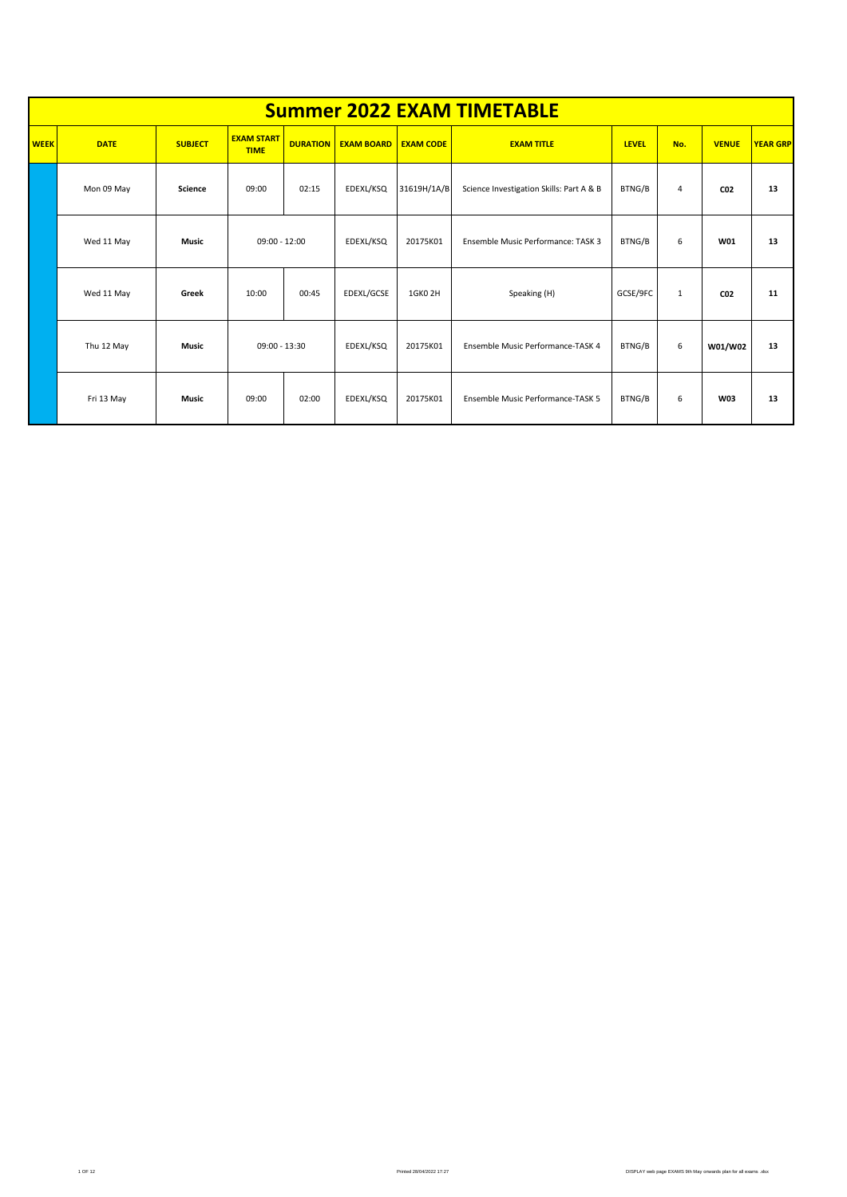|             | <b>Summer 2022 EXAM TIMETABLE</b> |                |                                  |                 |                   |                     |                                          |              |              |                 |                 |  |  |  |  |
|-------------|-----------------------------------|----------------|----------------------------------|-----------------|-------------------|---------------------|------------------------------------------|--------------|--------------|-----------------|-----------------|--|--|--|--|
| <b>WEEK</b> | <b>DATE</b>                       | <b>SUBJECT</b> | <b>EXAM START</b><br><b>TIME</b> | <b>DURATION</b> | <b>EXAM BOARD</b> | <b>EXAM CODE</b>    | <b>EXAM TITLE</b>                        | <b>LEVEL</b> | No.          | <b>VENUE</b>    | <b>YEAR GRP</b> |  |  |  |  |
|             | Mon 09 May                        | <b>Science</b> | 09:00                            | 02:15           | EDEXL/KSQ         | 31619H/1A/B         | Science Investigation Skills: Part A & B | BTNG/B       | 4            | C <sub>02</sub> | 13              |  |  |  |  |
|             | Wed 11 May                        | Music          | $09:00 - 12:00$                  |                 | EDEXL/KSQ         | 20175K01            | Ensemble Music Performance: TASK 3       | BTNG/B       | 6            | W01             | 13              |  |  |  |  |
|             | Wed 11 May                        | Greek          | 10:00                            | 00:45           | EDEXL/GCSE        | 1GKO <sub>2</sub> H | Speaking (H)                             | GCSE/9FC     | $\mathbf{1}$ | C <sub>02</sub> | 11              |  |  |  |  |
|             | Thu 12 May                        | <b>Music</b>   | $09:00 - 13:30$                  |                 | EDEXL/KSQ         | 20175K01            | Ensemble Music Performance-TASK 4        | BTNG/B       | 6            | W01/W02         | 13              |  |  |  |  |
|             | Fri 13 May                        | <b>Music</b>   | 09:00                            | 02:00           | EDEXL/KSQ         | 20175K01            | Ensemble Music Performance-TASK 5        | BTNG/B       | 6            | <b>W03</b>      | 13              |  |  |  |  |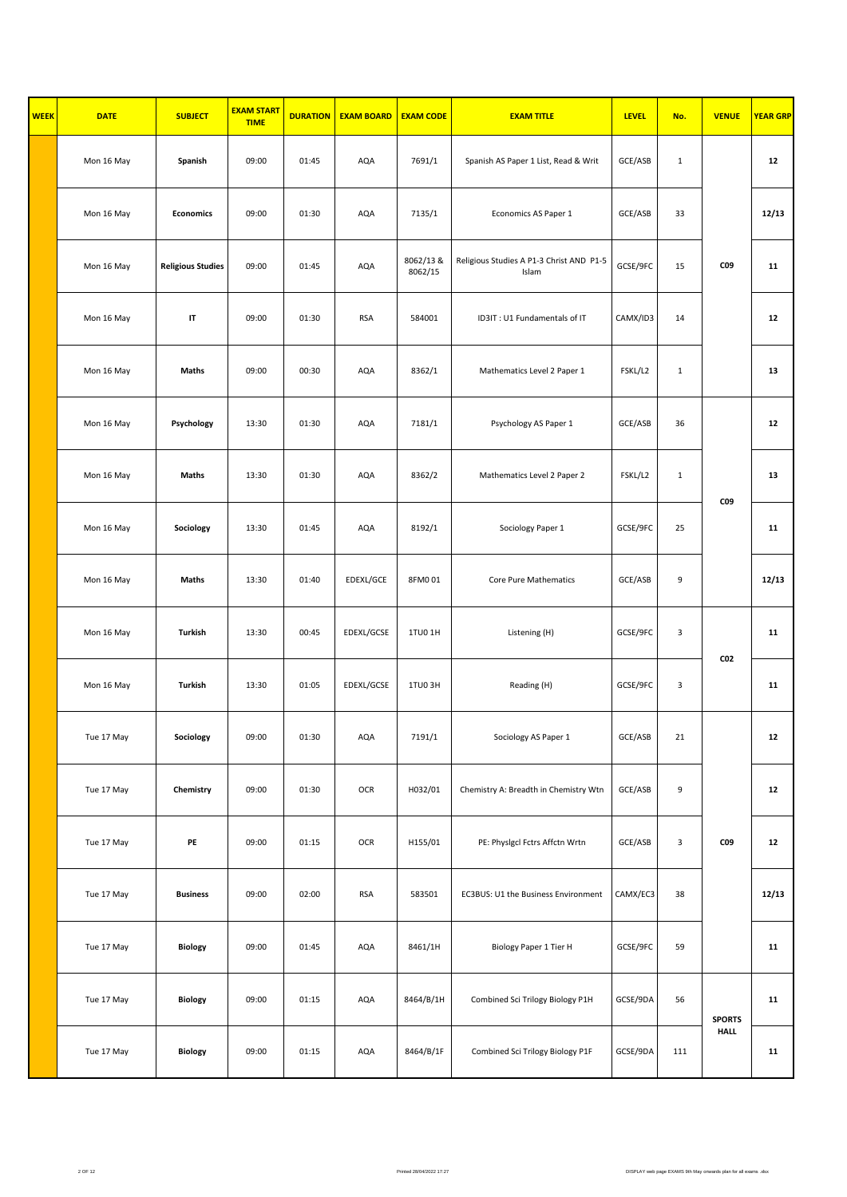| <b>WEEK</b> | <b>DATE</b> | <b>SUBJECT</b>           | <b>EXAM START</b><br><b>TIME</b> | <b>DURATION</b> | <b>EXAM BOARD</b> | <b>EXAM CODE</b>     | <b>EXAM TITLE</b>                                 | <b>LEVEL</b> | No.          | <b>VENUE</b>    | <b>YEAR GRP</b> |
|-------------|-------------|--------------------------|----------------------------------|-----------------|-------------------|----------------------|---------------------------------------------------|--------------|--------------|-----------------|-----------------|
|             | Mon 16 May  | Spanish                  | 09:00                            | 01:45           | AQA               | 7691/1               | Spanish AS Paper 1 List, Read & Writ              | GCE/ASB      | $\mathbf{1}$ |                 | 12              |
|             | Mon 16 May  | <b>Economics</b>         | 09:00                            | 01:30           | AQA               | 7135/1               | Economics AS Paper 1                              | GCE/ASB      | 33           |                 | 12/13           |
|             | Mon 16 May  | <b>Religious Studies</b> | 09:00                            | 01:45           | AQA               | 8062/13 &<br>8062/15 | Religious Studies A P1-3 Christ AND P1-5<br>Islam | GCSE/9FC     | 15           | C09             | 11              |
|             | Mon 16 May  | IT                       | 09:00                            | 01:30           | <b>RSA</b>        | 584001               | ID3IT: U1 Fundamentals of IT                      | CAMX/ID3     | 14           |                 | 12              |
|             | Mon 16 May  | <b>Maths</b>             | 09:00                            | 00:30           | AQA               | 8362/1               | Mathematics Level 2 Paper 1                       | FSKL/L2      | $\mathbf{1}$ |                 | 13              |
|             | Mon 16 May  | Psychology               | 13:30                            | 01:30           | AQA               | 7181/1               | Psychology AS Paper 1                             | GCE/ASB      | 36           |                 | 12              |
|             | Mon 16 May  | <b>Maths</b>             | 13:30                            | 01:30           | AQA               | 8362/2               | Mathematics Level 2 Paper 2                       | FSKL/L2      | $\mathbf 1$  | C09             | 13              |
|             | Mon 16 May  | Sociology                | 13:30                            | 01:45           | AQA               | 8192/1               | Sociology Paper 1                                 | GCSE/9FC     | 25           |                 | 11              |
|             | Mon 16 May  | Maths                    | 13:30                            | 01:40           | EDEXL/GCE         | 8FM001               | Core Pure Mathematics                             | GCE/ASB      | 9            |                 | 12/13           |
|             | Mon 16 May  | <b>Turkish</b>           | 13:30                            | 00:45           | EDEXL/GCSE        | 1TU0 1H              | Listening (H)                                     | GCSE/9FC     | 3            | CO <sub>2</sub> | 11              |
|             | Mon 16 May  | <b>Turkish</b>           | 13:30                            | 01:05           | EDEXL/GCSE        | 1TU03H               | Reading (H)                                       | GCSE/9FC     | 3            |                 | 11              |
|             | Tue 17 May  | Sociology                | 09:00                            | 01:30           | AQA               | 7191/1               | Sociology AS Paper 1                              | GCE/ASB      | 21           |                 | 12              |
|             | Tue 17 May  | Chemistry                | 09:00                            | 01:30           | OCR               | H032/01              | Chemistry A: Breadth in Chemistry Wtn             | GCE/ASB      | 9            |                 | 12              |
|             | Tue 17 May  | PE                       | 09:00                            | 01:15           | OCR               | H155/01              | PE: Physigci Fctrs Affctn Wrtn                    | GCE/ASB      | $\mathsf 3$  | C09             | $12\,$          |
|             | Tue 17 May  | <b>Business</b>          | 09:00                            | 02:00           | <b>RSA</b>        | 583501               | EC3BUS: U1 the Business Environment               | CAMX/EC3     | 38           |                 | 12/13           |
|             | Tue 17 May  | <b>Biology</b>           | 09:00                            | 01:45           | AQA               | 8461/1H              | Biology Paper 1 Tier H                            | GCSE/9FC     | 59           |                 | 11              |
|             | Tue 17 May  | <b>Biology</b>           | 09:00                            | 01:15           | AQA               | 8464/B/1H            | Combined Sci Trilogy Biology P1H                  | GCSE/9DA     | 56           | <b>SPORTS</b>   | 11              |
|             | Tue 17 May  | Biology                  | 09:00                            | 01:15           | AQA               | 8464/B/1F            | Combined Sci Trilogy Biology P1F                  | GCSE/9DA     | 111          | HALL            | 11              |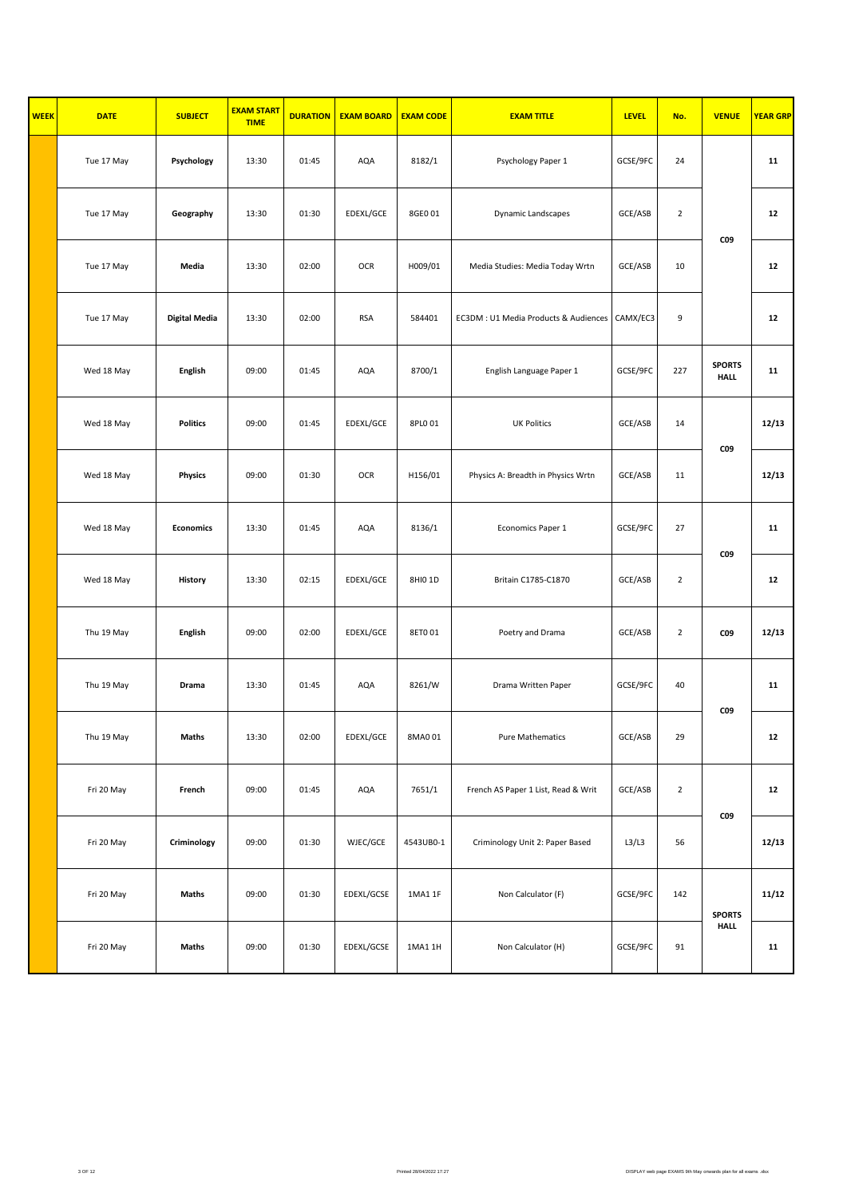| <b>WEEK</b> | <b>DATE</b> | <b>SUBJECT</b>       | <b>EXAM START</b><br><b>TIME</b> | <b>DURATION</b> | <b>EXAM BOARD</b> | <b>EXAM CODE</b> | <b>EXAM TITLE</b>                     | <b>LEVEL</b> | No.            | <b>VENUE</b>                 | <b>YEAR GRP</b> |
|-------------|-------------|----------------------|----------------------------------|-----------------|-------------------|------------------|---------------------------------------|--------------|----------------|------------------------------|-----------------|
|             | Tue 17 May  | Psychology           | 13:30                            | 01:45           | AQA               | 8182/1           | Psychology Paper 1                    | GCSE/9FC     | 24             |                              | 11              |
|             | Tue 17 May  | Geography            | 13:30                            | 01:30           | EDEXL/GCE         | 8GE0 01          | Dynamic Landscapes                    | GCE/ASB      | $\overline{2}$ | C09                          | 12              |
|             | Tue 17 May  | Media                | 13:30                            | 02:00           | <b>OCR</b>        | H009/01          | Media Studies: Media Today Wrtn       | GCE/ASB      | 10             |                              | 12              |
|             | Tue 17 May  | <b>Digital Media</b> | 13:30                            | 02:00           | <b>RSA</b>        | 584401           | EC3DM : U1 Media Products & Audiences | CAMX/EC3     | 9              |                              | 12              |
|             | Wed 18 May  | <b>English</b>       | 09:00                            | 01:45           | AQA               | 8700/1           | English Language Paper 1              | GCSE/9FC     | 227            | <b>SPORTS</b><br><b>HALL</b> | 11              |
|             | Wed 18 May  | <b>Politics</b>      | 09:00                            | 01:45           | EDEXL/GCE         | 8PL0 01          | <b>UK Politics</b>                    | GCE/ASB      | 14             | <b>CO9</b>                   | 12/13           |
|             | Wed 18 May  | <b>Physics</b>       | 09:00                            | 01:30           | <b>OCR</b>        | H156/01          | Physics A: Breadth in Physics Wrtn    | GCE/ASB      | 11             |                              | 12/13           |
|             | Wed 18 May  | <b>Economics</b>     | 13:30                            | 01:45           | AQA               | 8136/1           | Economics Paper 1                     | GCSE/9FC     | 27             | C09                          | 11              |
|             | Wed 18 May  | <b>History</b>       | 13:30                            | 02:15           | EDEXL/GCE         | 8HI0 1D          | Britain C1785-C1870                   | GCE/ASB      | $\overline{2}$ |                              | ${\bf 12}$      |
|             | Thu 19 May  | <b>English</b>       | 09:00                            | 02:00           | EDEXL/GCE         | 8ET001           | Poetry and Drama                      | GCE/ASB      | $\overline{2}$ | <b>CO9</b>                   | 12/13           |
|             | Thu 19 May  | Drama                | 13:30                            | 01:45           | AQA               | 8261/W           | Drama Written Paper                   | GCSE/9FC     | 40             | <b>CO9</b>                   | 11              |
|             | Thu 19 May  | Maths                | 13:30                            | 02:00           | EDEXL/GCE         | 8MA0 01          | Pure Mathematics                      | GCE/ASB      | 29             |                              | ${\bf 12}$      |
|             | Fri 20 May  | French               | 09:00                            | 01:45           | AQA               | 7651/1           | French AS Paper 1 List, Read & Writ   | GCE/ASB      | $\overline{2}$ | C09                          | ${\bf 12}$      |
|             | Fri 20 May  | Criminology          | 09:00                            | 01:30           | WJEC/GCE          | 4543UB0-1        | Criminology Unit 2: Paper Based       | L3/L3        | 56             |                              | 12/13           |
|             | Fri 20 May  | Maths                | 09:00                            | 01:30           | EDEXL/GCSE        | 1MA1 1F          | Non Calculator (F)                    | GCSE/9FC     | 142            | <b>SPORTS</b>                | 11/12           |
|             | Fri 20 May  | Maths                | 09:00                            | 01:30           | EDEXL/GCSE        | 1MA1 1H          | Non Calculator (H)                    | GCSE/9FC     | 91             | <b>HALL</b>                  | 11              |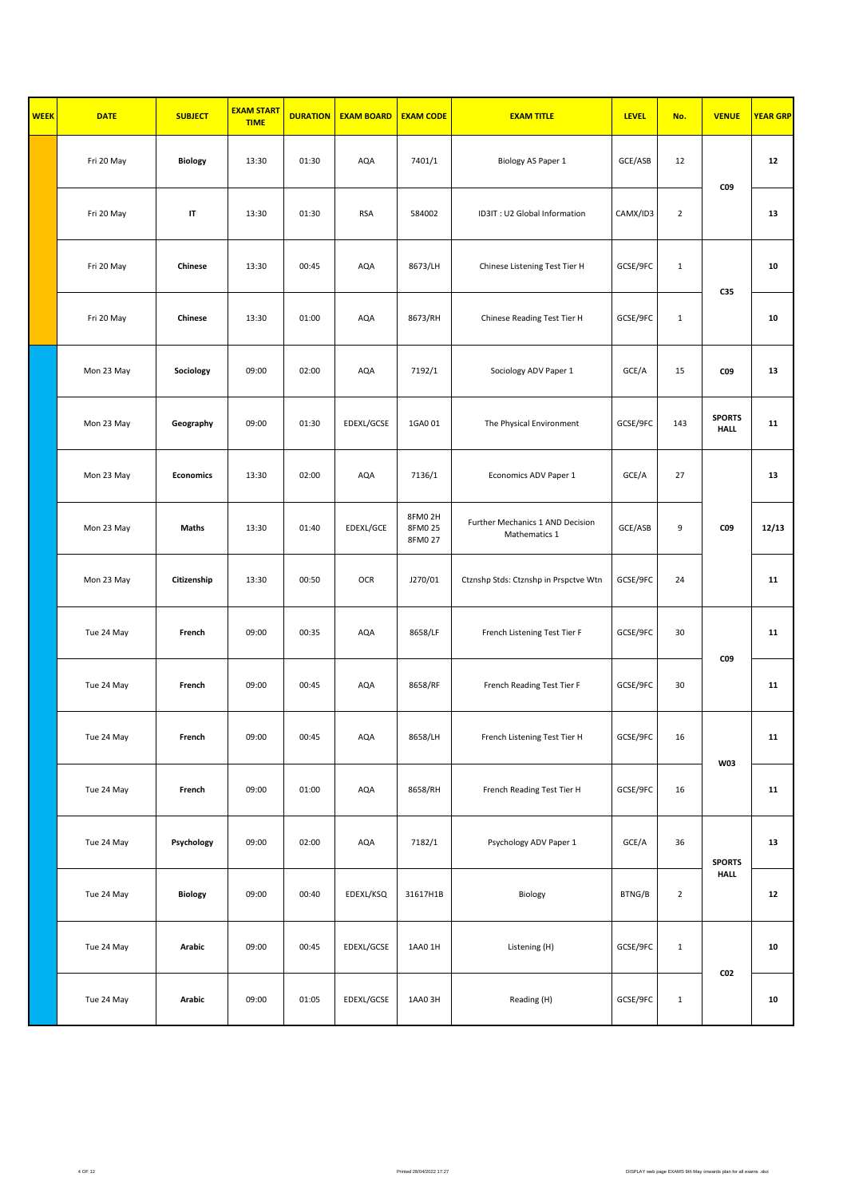| <b>WEEK</b> | <b>DATE</b> | <b>SUBJECT</b>   | <b>EXAM START</b><br><b>TIME</b> | <b>DURATION</b> | <b>EXAM BOARD</b> | <b>EXAM CODE</b>             | <b>EXAM TITLE</b>                                 | <b>LEVEL</b> | No.            | <b>VENUE</b>                 | <b>YEAR GRP</b> |
|-------------|-------------|------------------|----------------------------------|-----------------|-------------------|------------------------------|---------------------------------------------------|--------------|----------------|------------------------------|-----------------|
|             | Fri 20 May  | <b>Biology</b>   | 13:30                            | 01:30           | AQA               | 7401/1                       | Biology AS Paper 1                                | GCE/ASB      | 12             | C09                          | 12              |
|             | Fri 20 May  | IT               | 13:30                            | 01:30           | <b>RSA</b>        | 584002                       | ID3IT: U2 Global Information                      | CAMX/ID3     | $\overline{2}$ |                              | 13              |
|             | Fri 20 May  | Chinese          | 13:30                            | 00:45           | AQA               | 8673/LH                      | Chinese Listening Test Tier H                     | GCSE/9FC     | $\mathbf 1$    | C35                          | 10              |
|             | Fri 20 May  | Chinese          | 13:30                            | 01:00           | AQA               | 8673/RH                      | Chinese Reading Test Tier H                       | GCSE/9FC     | $\mathbf 1$    |                              | 10              |
|             | Mon 23 May  | Sociology        | 09:00                            | 02:00           | AQA               | 7192/1                       | Sociology ADV Paper 1                             | GCE/A        | 15             | C09                          | 13              |
|             | Mon 23 May  | Geography        | 09:00                            | 01:30           | EDEXL/GCSE        | 1GA001                       | The Physical Environment                          | GCSE/9FC     | 143            | <b>SPORTS</b><br><b>HALL</b> | 11              |
|             | Mon 23 May  | <b>Economics</b> | 13:30                            | 02:00           | AQA               | 7136/1                       | Economics ADV Paper 1                             | GCE/A        | 27             |                              | 13              |
|             | Mon 23 May  | <b>Maths</b>     | 13:30                            | 01:40           | EDEXL/GCE         | 8FM02H<br>8FM0 25<br>8FM0 27 | Further Mechanics 1 AND Decision<br>Mathematics 1 | GCE/ASB      | 9              | C09                          | 12/13           |
|             | Mon 23 May  | Citizenship      | 13:30                            | 00:50           | <b>OCR</b>        | J270/01                      | Ctznshp Stds: Ctznshp in Prspctve Wtn             | GCSE/9FC     | 24             |                              | 11              |
|             | Tue 24 May  | French           | 09:00                            | 00:35           | AQA               | 8658/LF                      | French Listening Test Tier F                      | GCSE/9FC     | 30             | C09                          | 11              |
|             | Tue 24 May  | French           | 09:00                            | 00:45           | AQA               | 8658/RF                      | French Reading Test Tier F                        | GCSE/9FC     | 30             |                              | 11              |
|             | Tue 24 May  | French           | 09:00                            | 00:45           | AQA               | 8658/LH                      | French Listening Test Tier H                      | GCSE/9FC     | 16             | <b>W03</b>                   | 11              |
|             | Tue 24 May  | French           | 09:00                            | 01:00           | AQA               | 8658/RH                      | French Reading Test Tier H                        | GCSE/9FC     | 16             |                              | 11              |
|             | Tue 24 May  | Psychology       | 09:00                            | 02:00           | AQA               | 7182/1                       | Psychology ADV Paper 1                            | GCE/A        | 36             | <b>SPORTS</b>                | 13              |
|             | Tue 24 May  | Biology          | 09:00                            | 00:40           | EDEXL/KSQ         | 31617H1B                     | Biology                                           | BTNG/B       | $\overline{2}$ | <b>HALL</b>                  | ${\bf 12}$      |
|             | Tue 24 May  | Arabic           | 09:00                            | 00:45           | EDEXL/GCSE        | 1AA0 1H                      | Listening (H)                                     | GCSE/9FC     | $\mathbf{1}$   |                              | 10              |
|             | Tue 24 May  | Arabic           | 09:00                            | 01:05           | EDEXL/GCSE        | 1AA03H                       | Reading (H)                                       | GCSE/9FC     | $\mathbf{1}$   | CO <sub>2</sub>              | 10              |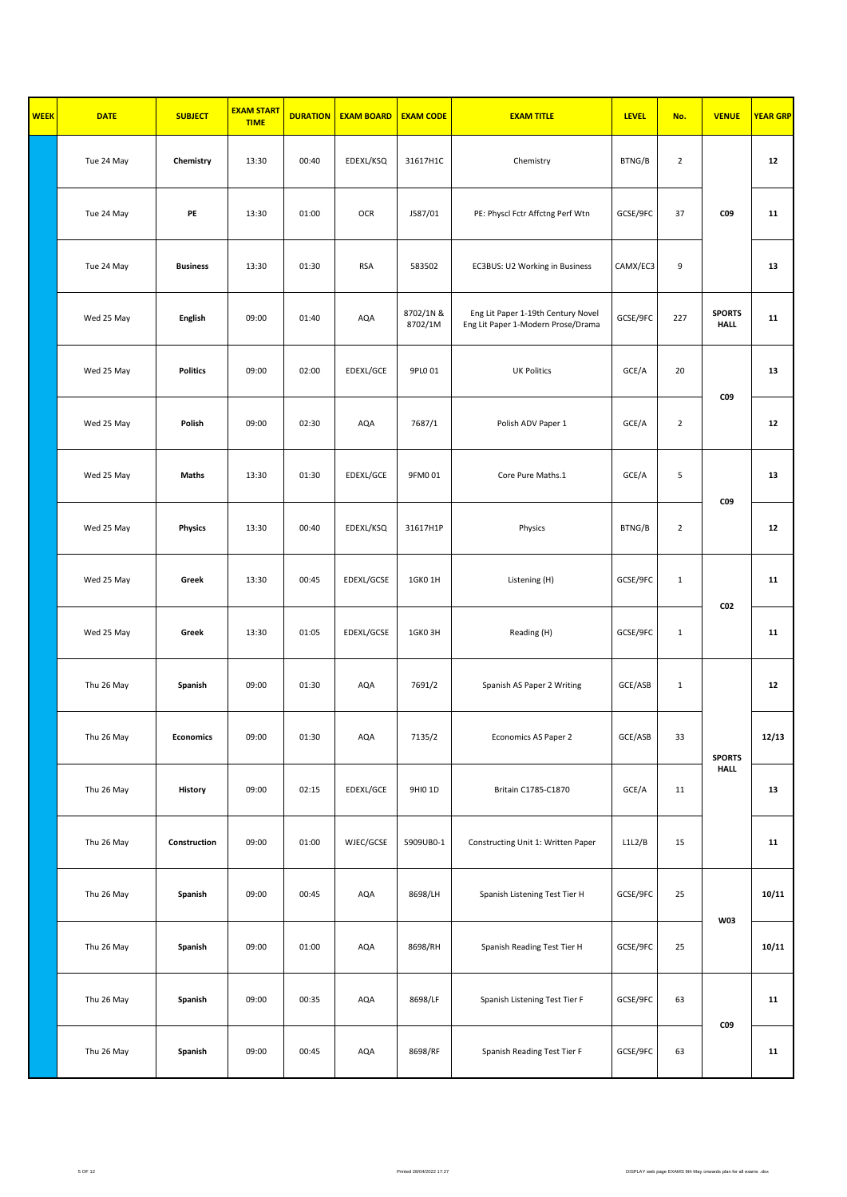| <b>WEEK</b> | <b>DATE</b> | <b>SUBJECT</b>   | <b>EXAM START</b><br><b>TIME</b> | <b>DURATION</b> | <b>EXAM BOARD</b> | <b>EXAM CODE</b>     | <b>EXAM TITLE</b>                                                        | <b>LEVEL</b> | No.            | <b>VENUE</b>                 | <b>YEAR GRP</b> |
|-------------|-------------|------------------|----------------------------------|-----------------|-------------------|----------------------|--------------------------------------------------------------------------|--------------|----------------|------------------------------|-----------------|
|             | Tue 24 May  | Chemistry        | 13:30                            | 00:40           | EDEXL/KSQ         | 31617H1C             | Chemistry                                                                | BTNG/B       | $\overline{2}$ |                              | 12              |
|             | Tue 24 May  | PE               | 13:30                            | 01:00           | OCR               | J587/01              | PE: Physcl Fctr Affctng Perf Wtn                                         | GCSE/9FC     | 37             | <b>CO9</b>                   | 11              |
|             | Tue 24 May  | <b>Business</b>  | 13:30                            | 01:30           | <b>RSA</b>        | 583502               | EC3BUS: U2 Working in Business                                           | CAMX/EC3     | 9              |                              | 13              |
|             | Wed 25 May  | <b>English</b>   | 09:00                            | 01:40           | AQA               | 8702/1N &<br>8702/1M | Eng Lit Paper 1-19th Century Novel<br>Eng Lit Paper 1-Modern Prose/Drama | GCSE/9FC     | 227            | <b>SPORTS</b><br><b>HALL</b> | 11              |
|             | Wed 25 May  | <b>Politics</b>  | 09:00                            | 02:00           | EDEXL/GCE         | 9PL0 01              | <b>UK Politics</b>                                                       | GCE/A        | 20             |                              | 13              |
|             | Wed 25 May  | Polish           | 09:00                            | 02:30           | AQA               | 7687/1               | Polish ADV Paper 1                                                       | GCE/A        | $\overline{2}$ | <b>CO9</b>                   | 12              |
|             | Wed 25 May  | Maths            | 13:30                            | 01:30           | EDEXL/GCE         | 9FM001               | Core Pure Maths.1                                                        | GCE/A        | 5              |                              | 13              |
|             | Wed 25 May  | <b>Physics</b>   | 13:30                            | 00:40           | EDEXL/KSQ         | 31617H1P             | Physics                                                                  | BTNG/B       | $\overline{2}$ | C09                          | $12\,$          |
|             | Wed 25 May  | Greek            | 13:30                            | 00:45           | EDEXL/GCSE        | 1GK0 1H              | Listening (H)                                                            | GCSE/9FC     | $\mathbf{1}$   |                              | 11              |
|             | Wed 25 May  | Greek            | 13:30                            | 01:05           | EDEXL/GCSE        | 1GKO3H               | Reading (H)                                                              | GCSE/9FC     | $\mathbf{1}$   | CO <sub>2</sub>              | 11              |
|             | Thu 26 May  | Spanish          | 09:00                            | 01:30           | AQA               | 7691/2               | Spanish AS Paper 2 Writing                                               | GCE/ASB      | $\mathbf 1$    |                              | 12              |
|             | Thu 26 May  | <b>Economics</b> | 09:00                            | 01:30           | $\sf{AQA}$        | 7135/2               | Economics AS Paper 2                                                     | GCE/ASB      | 33             | <b>SPORTS</b>                | 12/13           |
|             | Thu 26 May  | History          | 09:00                            | 02:15           | EDEXL/GCE         | 9HI0 1D              | Britain C1785-C1870                                                      | GCE/A        | 11             | <b>HALL</b>                  | 13              |
|             | Thu 26 May  | Construction     | 09:00                            | 01:00           | WJEC/GCSE         | 5909UB0-1            | Constructing Unit 1: Written Paper                                       | L1L2/B       | 15             |                              | 11              |
|             | Thu 26 May  | Spanish          | 09:00                            | 00:45           | AQA               | 8698/LH              | Spanish Listening Test Tier H                                            | GCSE/9FC     | 25             |                              | 10/11           |
|             | Thu 26 May  | Spanish          | 09:00                            | 01:00           | AQA               | 8698/RH              | Spanish Reading Test Tier H                                              | GCSE/9FC     | 25             | <b>W03</b>                   | 10/11           |
|             | Thu 26 May  | Spanish          | 09:00                            | 00:35           | AQA               | 8698/LF              | Spanish Listening Test Tier F                                            | GCSE/9FC     | 63             |                              | 11              |
|             | Thu 26 May  | Spanish          | 09:00                            | 00:45           | AQA               | 8698/RF              | Spanish Reading Test Tier F                                              | GCSE/9FC     | 63             | CO <sub>9</sub>              | 11              |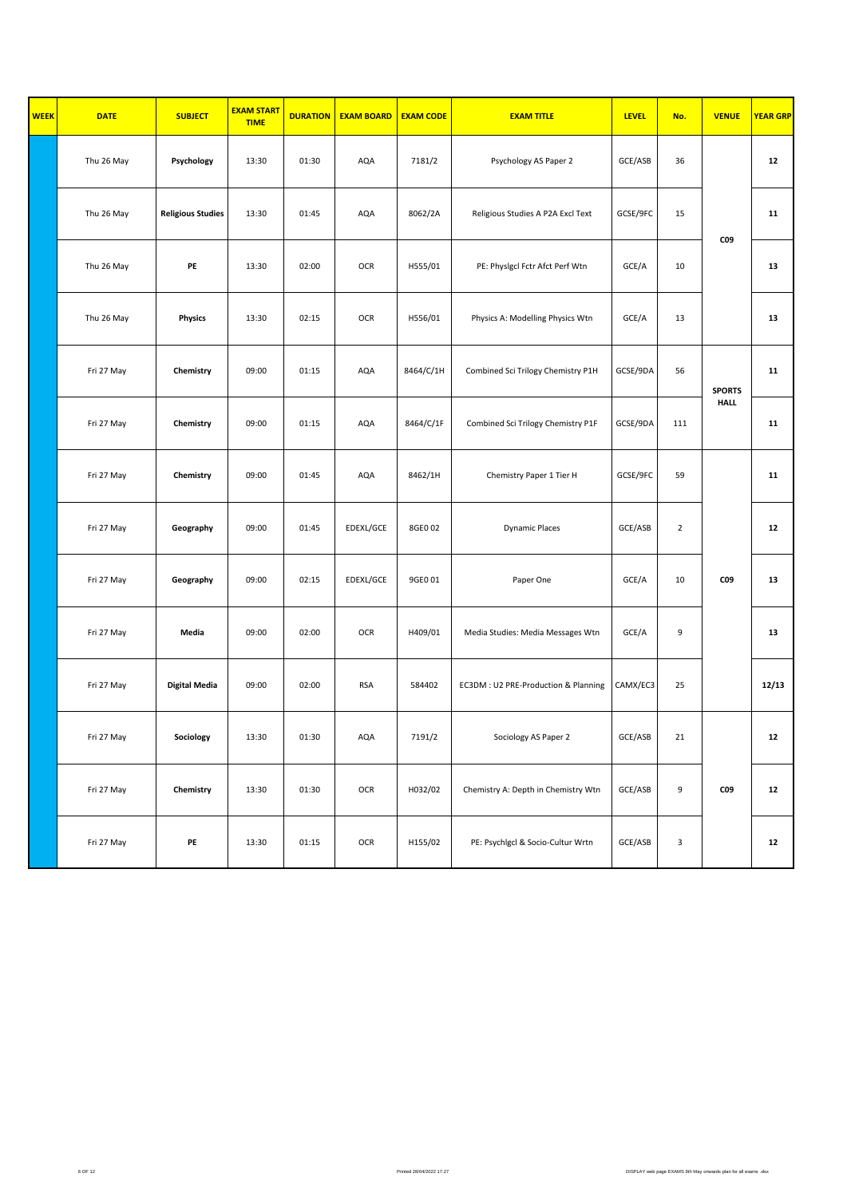| <b>WEEK</b> | <b>DATE</b> | <b>SUBJECT</b>           | <b>EXAM START</b><br><b>TIME</b> | <b>DURATION</b> | <b>EXAM BOARD</b> | <b>EXAM CODE</b> | <b>EXAM TITLE</b>                   | <b>LEVEL</b> | No.            | <b>VENUE</b>  | <b>YEAR GRP</b> |
|-------------|-------------|--------------------------|----------------------------------|-----------------|-------------------|------------------|-------------------------------------|--------------|----------------|---------------|-----------------|
|             | Thu 26 May  | Psychology               | 13:30                            | 01:30           | AQA               | 7181/2           | Psychology AS Paper 2               | GCE/ASB      | 36             |               | 12              |
|             | Thu 26 May  | <b>Religious Studies</b> | 13:30                            | 01:45           | AQA               | 8062/2A          | Religious Studies A P2A Excl Text   | GCSE/9FC     | 15             | C09           | 11              |
|             | Thu 26 May  | PE                       | 13:30                            | 02:00           | OCR               | H555/01          | PE: Physigci Fctr Afct Perf Wtn     | GCE/A        | 10             |               | 13              |
|             | Thu 26 May  | <b>Physics</b>           | 13:30                            | 02:15           | OCR               | H556/01          | Physics A: Modelling Physics Wtn    | GCE/A        | 13             |               | 13              |
|             | Fri 27 May  | Chemistry                | 09:00                            | 01:15           | AQA               | 8464/C/1H        | Combined Sci Trilogy Chemistry P1H  | GCSE/9DA     | 56             | <b>SPORTS</b> | 11              |
|             | Fri 27 May  | Chemistry                | 09:00                            | 01:15           | AQA               | 8464/C/1F        | Combined Sci Trilogy Chemistry P1F  | GCSE/9DA     | 111            | <b>HALL</b>   | 11              |
|             | Fri 27 May  | Chemistry                | 09:00                            | 01:45           | AQA               | 8462/1H          | Chemistry Paper 1 Tier H            | GCSE/9FC     | 59             |               | 11              |
|             | Fri 27 May  | Geography                | 09:00                            | 01:45           | EDEXL/GCE         | 8GE0 02          | <b>Dynamic Places</b>               | GCE/ASB      | $\overline{2}$ |               | 12              |
|             | Fri 27 May  | Geography                | 09:00                            | 02:15           | EDEXL/GCE         | 9GE0 01          | Paper One                           | GCE/A        | 10             | C09           | 13              |
|             | Fri 27 May  | Media                    | 09:00                            | 02:00           | OCR               | H409/01          | Media Studies: Media Messages Wtn   | GCE/A        | 9              |               | 13              |
|             | Fri 27 May  | <b>Digital Media</b>     | 09:00                            | 02:00           | <b>RSA</b>        | 584402           | EC3DM: U2 PRE-Production & Planning | CAMX/EC3     | 25             |               | 12/13           |
|             | Fri 27 May  | Sociology                | 13:30                            | 01:30           | AQA               | 7191/2           | Sociology AS Paper 2                | GCE/ASB      | 21             |               | 12              |
|             | Fri 27 May  | Chemistry                | 13:30                            | 01:30           | OCR               | H032/02          | Chemistry A: Depth in Chemistry Wtn | GCE/ASB      | 9              | C09           | 12              |
|             | Fri 27 May  | PE                       | 13:30                            | 01:15           | OCR               | H155/02          | PE: Psychigci & Socio-Cultur Wrtn   | GCE/ASB      | $\mathsf 3$    |               | 12              |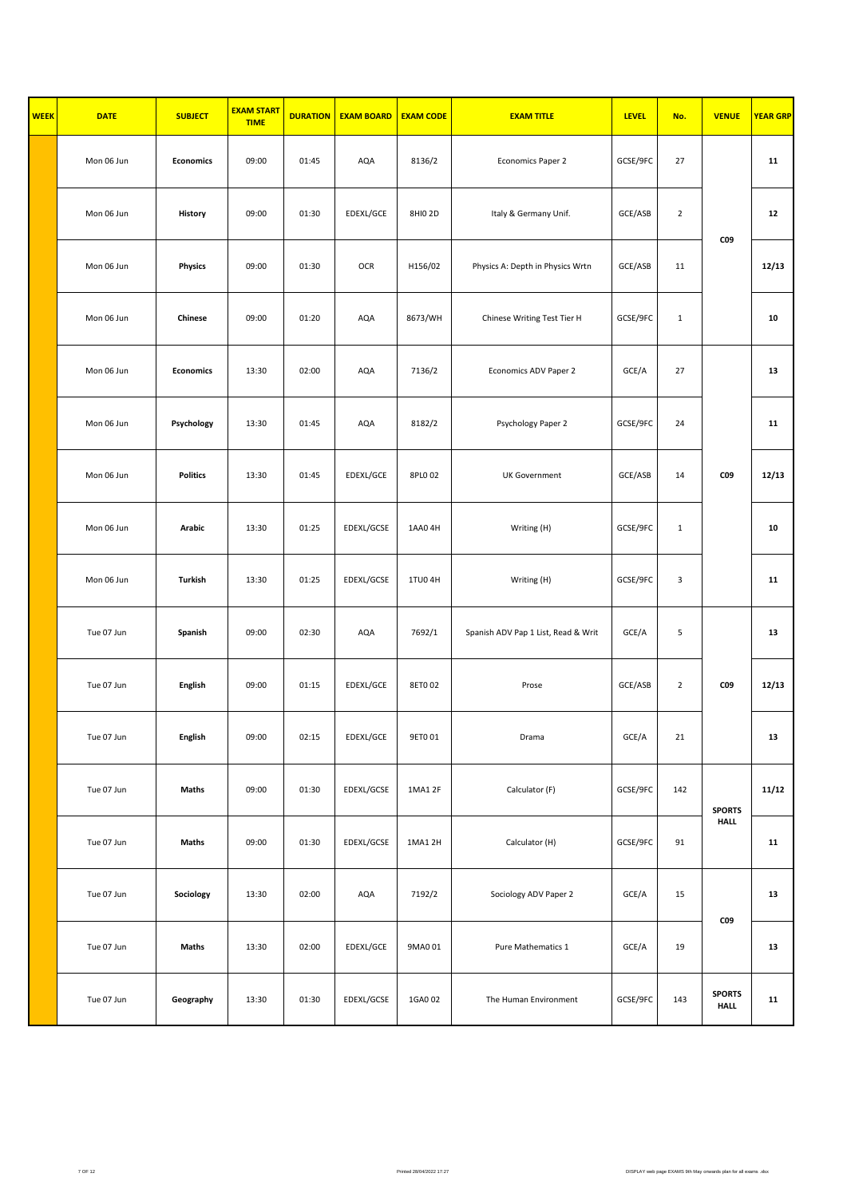| <b>WEEK</b> | <b>DATE</b> | <b>SUBJECT</b>   | <b>EXAM START</b><br><b>TIME</b> | <b>DURATION</b> | <b>EXAM BOARD</b> | <b>EXAM CODE</b> | <b>EXAM TITLE</b>                   | <b>LEVEL</b> | No.            | <b>VENUE</b>                 | <b>YEAR GRP</b> |
|-------------|-------------|------------------|----------------------------------|-----------------|-------------------|------------------|-------------------------------------|--------------|----------------|------------------------------|-----------------|
|             | Mon 06 Jun  | <b>Economics</b> | 09:00                            | 01:45           | AQA               | 8136/2           | Economics Paper 2                   | GCSE/9FC     | 27             |                              | 11              |
|             | Mon 06 Jun  | History          | 09:00                            | 01:30           | EDEXL/GCE         | 8HI0 2D          | Italy & Germany Unif.               | GCE/ASB      | $\overline{2}$ |                              | 12              |
|             | Mon 06 Jun  | <b>Physics</b>   | 09:00                            | 01:30           | OCR               | H156/02          | Physics A: Depth in Physics Wrtn    | GCE/ASB      | 11             | C09                          | 12/13           |
|             | Mon 06 Jun  | Chinese          | 09:00                            | 01:20           | AQA               | 8673/WH          | Chinese Writing Test Tier H         | GCSE/9FC     | $\mathbf{1}$   |                              | 10              |
|             | Mon 06 Jun  | <b>Economics</b> | 13:30                            | 02:00           | AQA               | 7136/2           | Economics ADV Paper 2               | GCE/A        | 27             |                              | 13              |
|             | Mon 06 Jun  | Psychology       | 13:30                            | 01:45           | AQA               | 8182/2           | Psychology Paper 2                  | GCSE/9FC     | 24             |                              | 11              |
|             | Mon 06 Jun  | <b>Politics</b>  | 13:30                            | 01:45           | EDEXL/GCE         | 8PL0 02          | <b>UK Government</b>                | GCE/ASB      | 14             | C09                          | 12/13           |
|             | Mon 06 Jun  | Arabic           | 13:30                            | 01:25           | EDEXL/GCSE        | 1AA04H           | Writing (H)                         | GCSE/9FC     | $\mathbf{1}$   |                              | 10              |
|             | Mon 06 Jun  | Turkish          | 13:30                            | 01:25           | EDEXL/GCSE        | 1TU04H           | Writing (H)                         | GCSE/9FC     | 3              |                              | 11              |
|             | Tue 07 Jun  | Spanish          | 09:00                            | 02:30           | AQA               | 7692/1           | Spanish ADV Pap 1 List, Read & Writ | GCE/A        | 5              |                              | 13              |
|             | Tue 07 Jun  | <b>English</b>   | 09:00                            | 01:15           | EDEXL/GCE         | 8ET002           | Prose                               | GCE/ASB      | $\overline{2}$ | <b>CO9</b>                   | 12/13           |
|             | Tue 07 Jun  | English          | 09:00                            | 02:15           | EDEXL/GCE         | 9ET0 01          | Drama                               | GCE/A        | $21\,$         |                              | 13              |
|             | Tue 07 Jun  | Maths            | 09:00                            | 01:30           | EDEXL/GCSE        | 1MA1 2F          | Calculator (F)                      | GCSE/9FC     | 142            | <b>SPORTS</b>                | 11/12           |
|             | Tue 07 Jun  | Maths            | 09:00                            | 01:30           | EDEXL/GCSE        | 1MA1 2H          | Calculator (H)                      | GCSE/9FC     | 91             | <b>HALL</b>                  | 11              |
|             | Tue 07 Jun  | Sociology        | 13:30                            | 02:00           | AQA               | 7192/2           | Sociology ADV Paper 2               | GCE/A        | 15             | C09                          | 13              |
|             | Tue 07 Jun  | Maths            | 13:30                            | 02:00           | EDEXL/GCE         | 9MA0 01          | Pure Mathematics 1                  | GCE/A        | 19             |                              | 13              |
|             | Tue 07 Jun  | Geography        | 13:30                            | 01:30           | EDEXL/GCSE        | 1GA0 02          | The Human Environment               | GCSE/9FC     | 143            | <b>SPORTS</b><br><b>HALL</b> | 11              |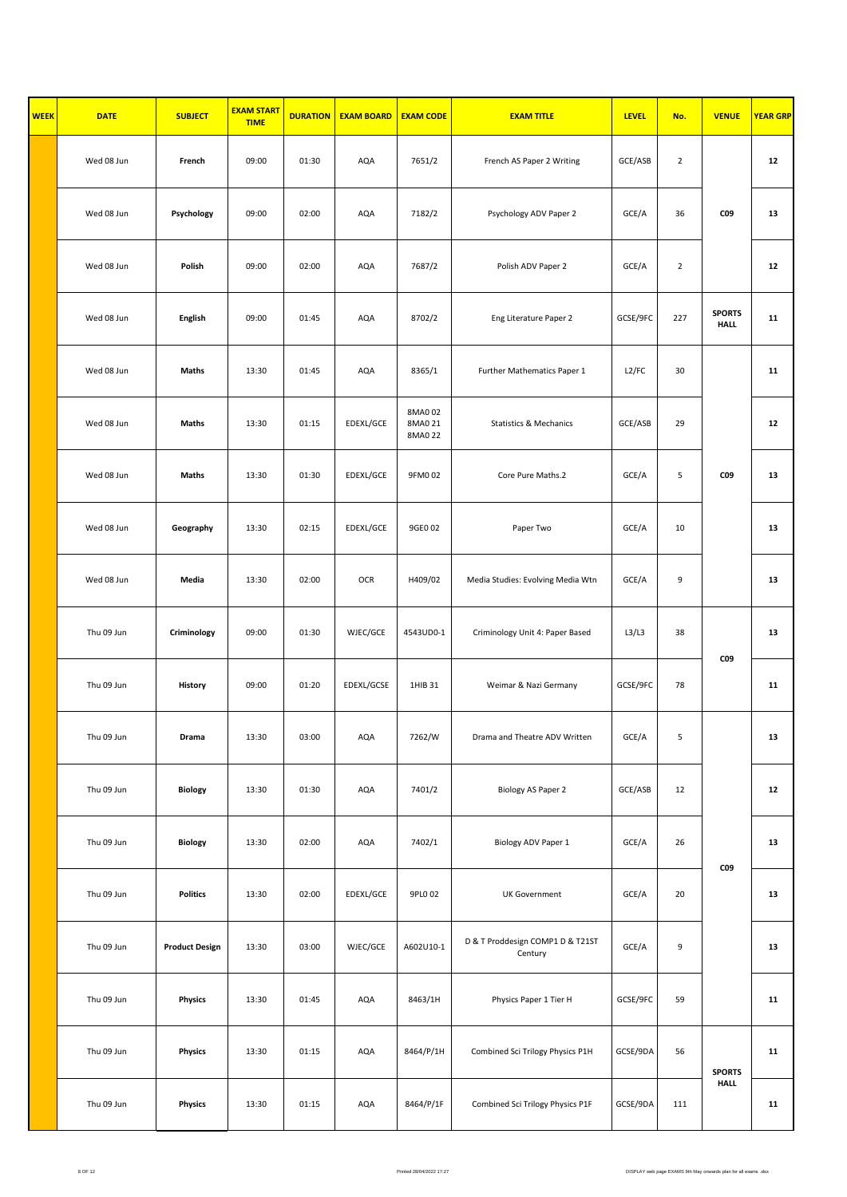| <b>WEEK</b> | <b>DATE</b> | <b>SUBJECT</b>        | <b>EXAM START</b><br><b>TIME</b> | <b>DURATION</b> | <b>EXAM BOARD</b> | <b>EXAM CODE</b>              | <b>EXAM TITLE</b>                           | <b>LEVEL</b> | No.            | <b>VENUE</b>                 | <b>YEAR GRP</b> |
|-------------|-------------|-----------------------|----------------------------------|-----------------|-------------------|-------------------------------|---------------------------------------------|--------------|----------------|------------------------------|-----------------|
|             | Wed 08 Jun  | French                | 09:00                            | 01:30           | AQA               | 7651/2                        | French AS Paper 2 Writing                   | GCE/ASB      | $\overline{2}$ |                              | 12              |
|             | Wed 08 Jun  | Psychology            | 09:00                            | 02:00           | AQA               | 7182/2                        | Psychology ADV Paper 2                      | GCE/A        | 36             | C09                          | 13              |
|             | Wed 08 Jun  | Polish                | 09:00                            | 02:00           | AQA               | 7687/2                        | Polish ADV Paper 2                          | GCE/A        | $\overline{2}$ |                              | 12              |
|             | Wed 08 Jun  | <b>English</b>        | 09:00                            | 01:45           | AQA               | 8702/2                        | Eng Literature Paper 2                      | GCSE/9FC     | 227            | <b>SPORTS</b><br><b>HALL</b> | 11              |
|             | Wed 08 Jun  | Maths                 | 13:30                            | 01:45           | AQA               | 8365/1                        | Further Mathematics Paper 1                 | L2/FC        | 30             |                              | 11              |
|             | Wed 08 Jun  | Maths                 | 13:30                            | 01:15           | EDEXL/GCE         | 8MA0 02<br>8MA0 21<br>8MA0 22 | <b>Statistics &amp; Mechanics</b>           | GCE/ASB      | 29             |                              | 12              |
|             | Wed 08 Jun  | Maths                 | 13:30                            | 01:30           | EDEXL/GCE         | 9FM002                        | Core Pure Maths.2                           | GCE/A        | 5              | C09                          | 13              |
|             | Wed 08 Jun  | Geography             | 13:30                            | 02:15           | EDEXL/GCE         | 9GE0 02                       | Paper Two                                   | GCE/A        | 10             |                              | 13              |
|             | Wed 08 Jun  | Media                 | 13:30                            | 02:00           | <b>OCR</b>        | H409/02                       | Media Studies: Evolving Media Wtn           | GCE/A        | 9              |                              | 13              |
|             | Thu 09 Jun  | Criminology           | 09:00                            | 01:30           | WJEC/GCE          | 4543UD0-1                     | Criminology Unit 4: Paper Based             | L3/L3        | 38             | C09                          | 13              |
|             | Thu 09 Jun  | History               | 09:00                            | 01:20           | EDEXL/GCSE        | 1HIB 31                       | Weimar & Nazi Germany                       | GCSE/9FC     | 78             |                              | 11              |
|             | Thu 09 Jun  | Drama                 | 13:30                            | 03:00           | AQA               | 7262/W                        | Drama and Theatre ADV Written               | GCE/A        | 5              |                              | 13              |
|             | Thu 09 Jun  | <b>Biology</b>        | 13:30                            | 01:30           | AQA               | 7401/2                        | Biology AS Paper 2                          | GCE/ASB      | 12             |                              | 12              |
|             | Thu 09 Jun  | <b>Biology</b>        | 13:30                            | 02:00           | AQA               | 7402/1                        | Biology ADV Paper 1                         | GCE/A        | 26             | CO <sub>9</sub>              | 13              |
|             | Thu 09 Jun  | <b>Politics</b>       | 13:30                            | 02:00           | EDEXL/GCE         | 9PL0 02                       | <b>UK Government</b>                        | GCE/A        | 20             |                              | 13              |
|             | Thu 09 Jun  | <b>Product Design</b> | 13:30                            | 03:00           | WJEC/GCE          | A602U10-1                     | D & T Proddesign COMP1 D & T21ST<br>Century | GCE/A        | 9              |                              | 13              |
|             | Thu 09 Jun  | <b>Physics</b>        | 13:30                            | 01:45           | AQA               | 8463/1H                       | Physics Paper 1 Tier H                      | GCSE/9FC     | 59             |                              | 11              |
|             | Thu 09 Jun  | Physics               | 13:30                            | 01:15           | AQA               | 8464/P/1H                     | Combined Sci Trilogy Physics P1H            | GCSE/9DA     | 56             | <b>SPORTS</b>                | 11              |
|             | Thu 09 Jun  | Physics               | 13:30                            | 01:15           | AQA               | 8464/P/1F                     | Combined Sci Trilogy Physics P1F            | GCSE/9DA     | 111            | <b>HALL</b>                  | 11              |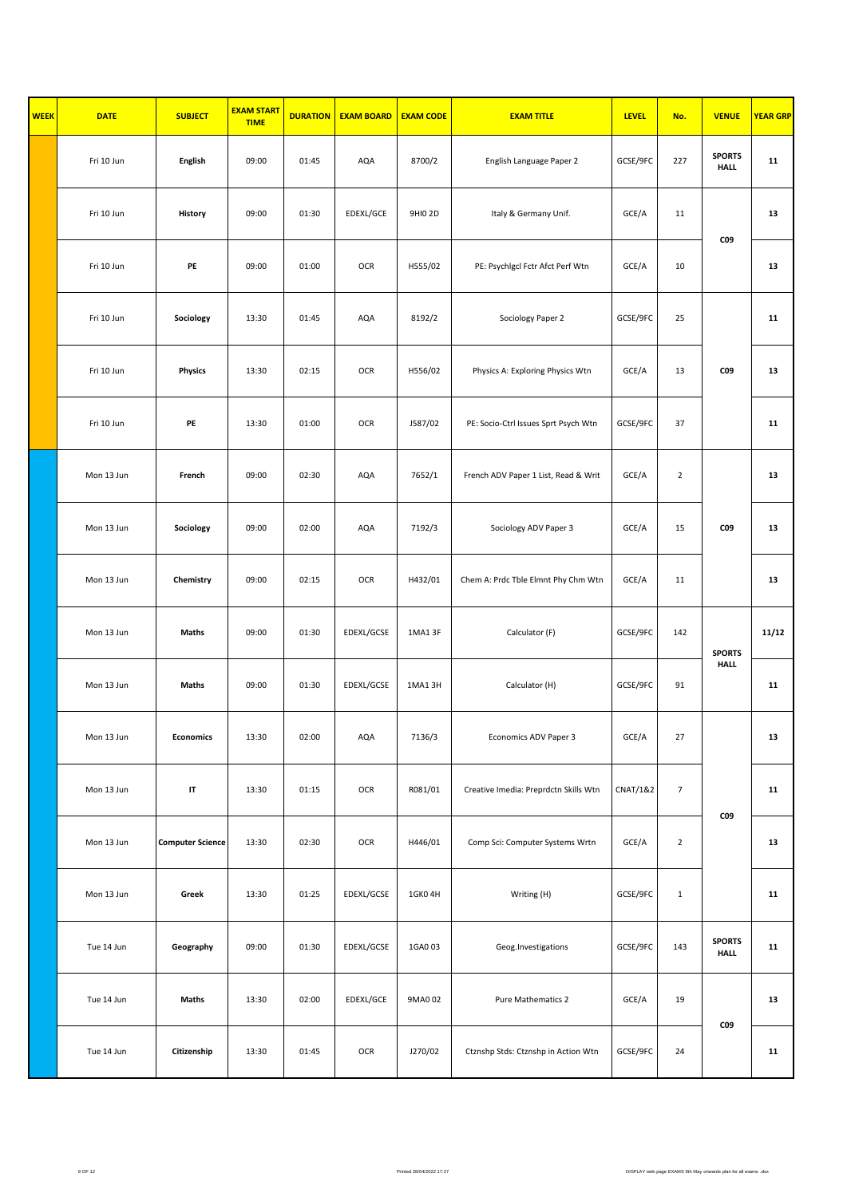| <b>WEEK</b> | <b>DATE</b> | <b>SUBJECT</b>          | <b>EXAM START</b><br><b>TIME</b> | <b>DURATION</b> | <b>EXAM BOARD</b> | <b>EXAM CODE</b> | <b>EXAM TITLE</b>                     | <b>LEVEL</b>        | No.            | <b>VENUE</b>                 | <b>YEAR GRP</b> |
|-------------|-------------|-------------------------|----------------------------------|-----------------|-------------------|------------------|---------------------------------------|---------------------|----------------|------------------------------|-----------------|
|             | Fri 10 Jun  | English                 | 09:00                            | 01:45           | AQA               | 8700/2           | English Language Paper 2              | GCSE/9FC            | 227            | <b>SPORTS</b><br><b>HALL</b> | 11              |
|             | Fri 10 Jun  | History                 | 09:00                            | 01:30           | EDEXL/GCE         | 9HI0 2D          | Italy & Germany Unif.                 | GCE/A               | 11             | C09                          | 13              |
|             | Fri 10 Jun  | PE                      | 09:00                            | 01:00           | OCR               | H555/02          | PE: Psychigcl Fctr Afct Perf Wtn      | GCE/A               | 10             |                              | 13              |
|             | Fri 10 Jun  | Sociology               | 13:30                            | 01:45           | AQA               | 8192/2           | Sociology Paper 2                     | GCSE/9FC            | 25             |                              | 11              |
|             | Fri 10 Jun  | <b>Physics</b>          | 13:30                            | 02:15           | OCR               | H556/02          | Physics A: Exploring Physics Wtn      | GCE/A               | 13             | <b>CO9</b>                   | 13              |
|             | Fri 10 Jun  | PE                      | 13:30                            | 01:00           | OCR               | J587/02          | PE: Socio-Ctrl Issues Sprt Psych Wtn  | GCSE/9FC            | 37             |                              | 11              |
|             | Mon 13 Jun  | French                  | 09:00                            | 02:30           | AQA               | 7652/1           | French ADV Paper 1 List, Read & Writ  | GCE/A               | $\overline{2}$ |                              | 13              |
|             | Mon 13 Jun  | Sociology               | 09:00                            | 02:00           | AQA               | 7192/3           | Sociology ADV Paper 3                 | GCE/A               | 15             | <b>CO9</b>                   | 13              |
|             | Mon 13 Jun  | Chemistry               | 09:00                            | 02:15           | OCR               | H432/01          | Chem A: Prdc Tble Elmnt Phy Chm Wtn   | GCE/A               | 11             |                              | 13              |
|             | Mon 13 Jun  | Maths                   | 09:00                            | 01:30           | EDEXL/GCSE        | 1MA1 3F          | Calculator (F)                        | GCSE/9FC            | 142            | <b>SPORTS</b>                | 11/12           |
|             | Mon 13 Jun  | Maths                   | 09:00                            | 01:30           | EDEXL/GCSE        | 1MA13H           | Calculator (H)                        | GCSE/9FC            | 91             | <b>HALL</b>                  | 11              |
|             | Mon 13 Jun  | <b>Economics</b>        | 13:30                            | 02:00           | AQA               | 7136/3           | Economics ADV Paper 3                 | GCE/A               | 27             |                              | 13              |
|             | Mon 13 Jun  | IT                      | 13:30                            | 01:15           | OCR               | R081/01          | Creative Imedia: Preprdctn Skills Wtn | <b>CNAT/1&amp;2</b> | $\overline{7}$ | C09                          | 11              |
|             | Mon 13 Jun  | <b>Computer Science</b> | 13:30                            | 02:30           | OCR               | H446/01          | Comp Sci: Computer Systems Wrtn       | GCE/A               | $\overline{2}$ |                              | 13              |
|             | Mon 13 Jun  | Greek                   | 13:30                            | 01:25           | EDEXL/GCSE        | 1GK04H           | Writing (H)                           | GCSE/9FC            | $\mathbf{1}$   |                              | 11              |
|             | Tue 14 Jun  | Geography               | 09:00                            | 01:30           | EDEXL/GCSE        | 1GA003           | Geog.Investigations                   | GCSE/9FC            | 143            | <b>SPORTS</b><br><b>HALL</b> | 11              |
|             | Tue 14 Jun  | Maths                   | 13:30                            | 02:00           | EDEXL/GCE         | 9MA0 02          | Pure Mathematics 2                    | GCE/A               | 19             |                              | 13              |
|             | Tue 14 Jun  | Citizenship             | 13:30                            | 01:45           | OCR               | J270/02          | Ctznshp Stds: Ctznshp in Action Wtn   | GCSE/9FC            | 24             | C09                          | 11              |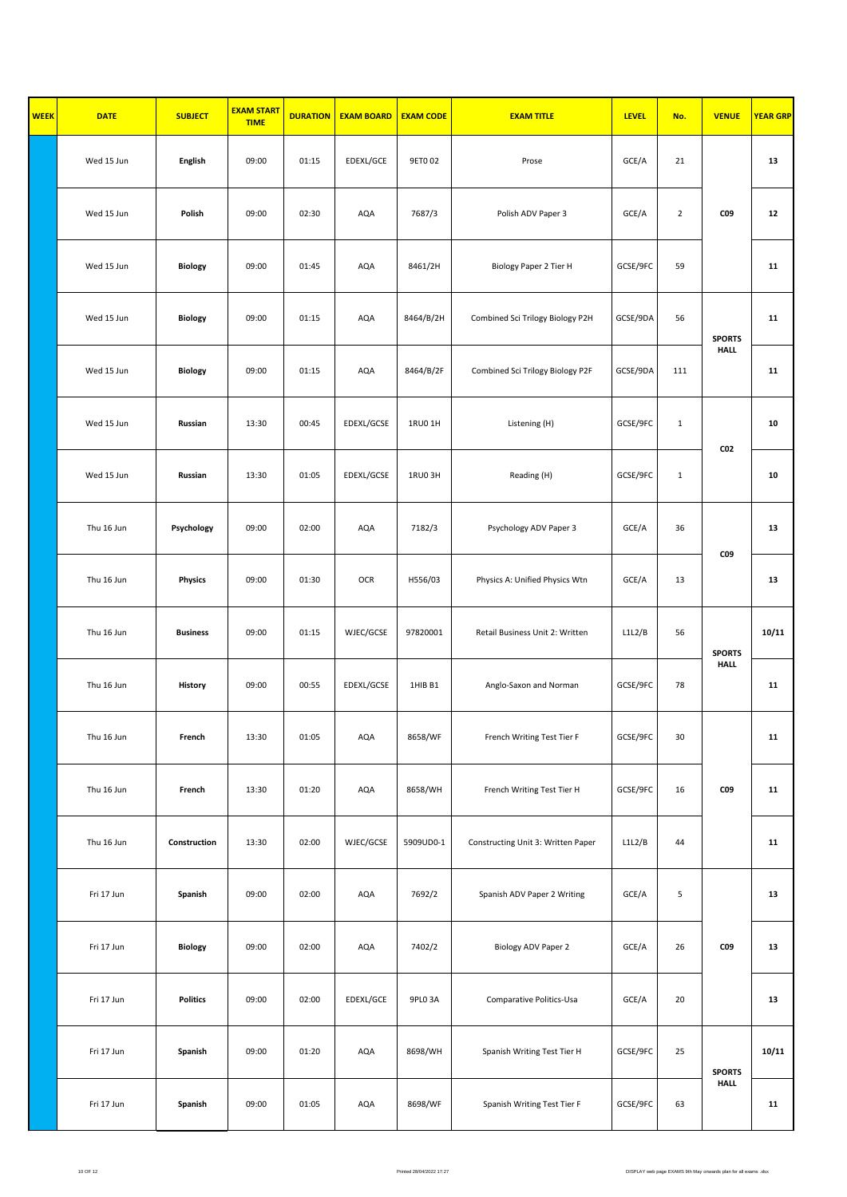| <b>WEEK</b> | <b>DATE</b> | <b>SUBJECT</b>  | <b>EXAM START</b><br><b>TIME</b> | <b>DURATION</b> | <b>EXAM BOARD</b> | <b>EXAM CODE</b> | <b>EXAM TITLE</b>                  | <b>LEVEL</b> | No.            | <b>VENUE</b>    | <b>YEAR GRP</b> |
|-------------|-------------|-----------------|----------------------------------|-----------------|-------------------|------------------|------------------------------------|--------------|----------------|-----------------|-----------------|
|             | Wed 15 Jun  | English         | 09:00                            | 01:15           | EDEXL/GCE         | 9ET002           | Prose                              | GCE/A        | 21             |                 | 13              |
|             | Wed 15 Jun  | Polish          | 09:00                            | 02:30           | AQA               | 7687/3           | Polish ADV Paper 3                 | GCE/A        | $\overline{2}$ | C09             | 12              |
|             | Wed 15 Jun  | <b>Biology</b>  | 09:00                            | 01:45           | AQA               | 8461/2H          | Biology Paper 2 Tier H             | GCSE/9FC     | 59             |                 | 11              |
|             | Wed 15 Jun  | <b>Biology</b>  | 09:00                            | 01:15           | AQA               | 8464/B/2H        | Combined Sci Trilogy Biology P2H   | GCSE/9DA     | 56             | <b>SPORTS</b>   | 11              |
|             | Wed 15 Jun  | <b>Biology</b>  | 09:00                            | 01:15           | AQA               | 8464/B/2F        | Combined Sci Trilogy Biology P2F   | GCSE/9DA     | 111            | <b>HALL</b>     | 11              |
|             | Wed 15 Jun  | Russian         | 13:30                            | 00:45           | EDEXL/GCSE        | 1RU0 1H          | Listening (H)                      | GCSE/9FC     | $\mathbf{1}$   |                 | 10              |
|             | Wed 15 Jun  | Russian         | 13:30                            | 01:05           | EDEXL/GCSE        | 1RU0 3H          | Reading (H)                        | GCSE/9FC     | $\mathbf{1}$   | CO <sub>2</sub> | 10              |
|             | Thu 16 Jun  | Psychology      | 09:00                            | 02:00           | AQA               | 7182/3           | Psychology ADV Paper 3             | GCE/A        | 36             |                 | 13              |
|             | Thu 16 Jun  | <b>Physics</b>  | 09:00                            | 01:30           | OCR               | H556/03          | Physics A: Unified Physics Wtn     | GCE/A        | 13             | C09             | 13              |
|             | Thu 16 Jun  | <b>Business</b> | 09:00                            | 01:15           | WJEC/GCSE         | 97820001         | Retail Business Unit 2: Written    | L1L2/B       | 56             | <b>SPORTS</b>   | 10/11           |
|             | Thu 16 Jun  | History         | 09:00                            | 00:55           | EDEXL/GCSE        | 1HIB B1          | Anglo-Saxon and Norman             | GCSE/9FC     | 78             | <b>HALL</b>     | 11              |
|             | Thu 16 Jun  | French          | 13:30                            | 01:05           | AQA               | 8658/WF          | French Writing Test Tier F         | GCSE/9FC     | 30             |                 | 11              |
|             | Thu 16 Jun  | French          | 13:30                            | 01:20           | AQA               | 8658/WH          | French Writing Test Tier H         | GCSE/9FC     | 16             | C09             | 11              |
|             | Thu 16 Jun  | Construction    | 13:30                            | 02:00           | WJEC/GCSE         | 5909UD0-1        | Constructing Unit 3: Written Paper | L1L2/B       | 44             |                 | 11              |
|             | Fri 17 Jun  | Spanish         | 09:00                            | 02:00           | AQA               | 7692/2           | Spanish ADV Paper 2 Writing        | GCE/A        | 5              |                 | 13              |
|             | Fri 17 Jun  | Biology         | 09:00                            | 02:00           | AQA               | 7402/2           | Biology ADV Paper 2                | GCE/A        | 26             | CO <sub>9</sub> | 13              |
|             | Fri 17 Jun  | <b>Politics</b> | 09:00                            | 02:00           | EDEXL/GCE         | 9PLO 3A          | Comparative Politics-Usa           | GCE/A        | 20             |                 | 13              |
|             | Fri 17 Jun  | Spanish         | 09:00                            | 01:20           | AQA               | 8698/WH          | Spanish Writing Test Tier H        | GCSE/9FC     | 25             | <b>SPORTS</b>   | 10/11           |
|             | Fri 17 Jun  | Spanish         | 09:00                            | 01:05           | AQA               | 8698/WF          | Spanish Writing Test Tier F        | GCSE/9FC     | 63             | <b>HALL</b>     | 11              |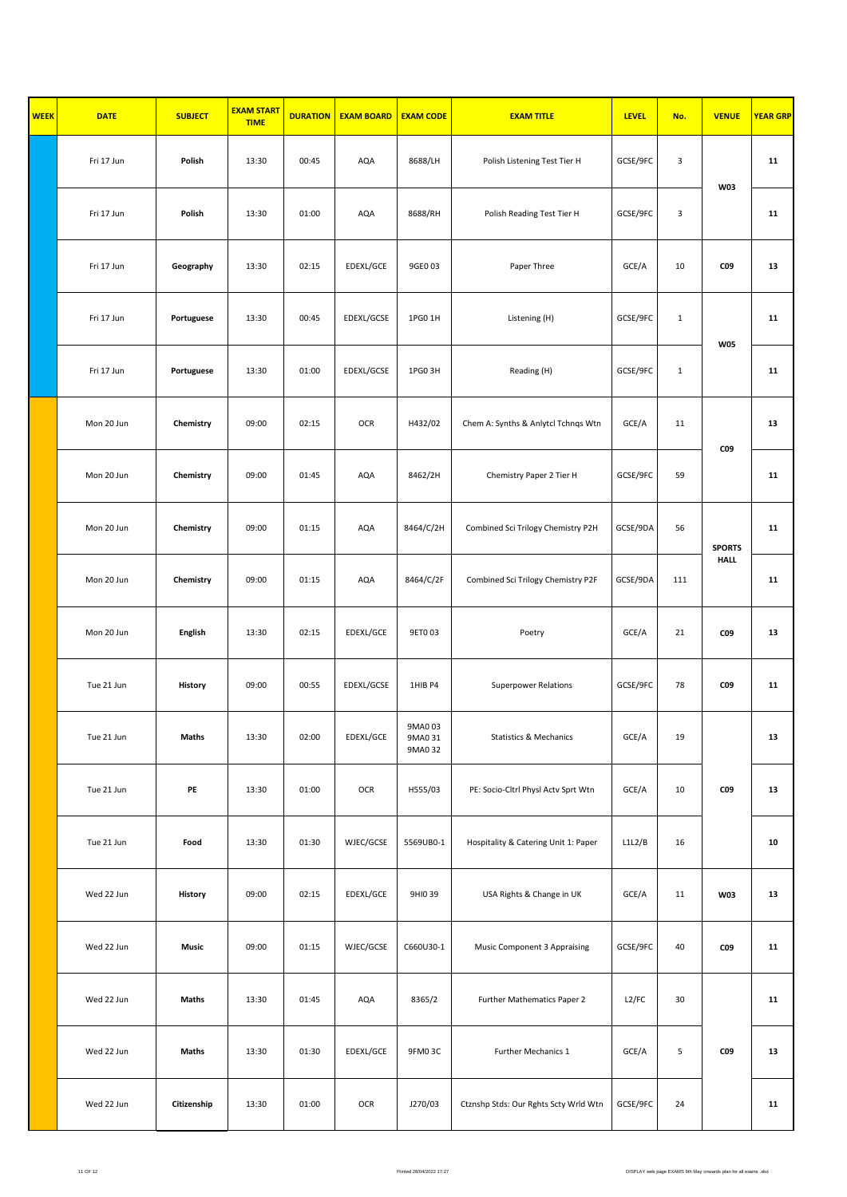| <b>WEEK</b> | <b>DATE</b> | <b>SUBJECT</b> | <b>EXAM START</b><br><b>TIME</b> | <b>DURATION</b> | <b>EXAM BOARD</b> | <b>EXAM CODE</b>             | <b>EXAM TITLE</b>                     | <b>LEVEL</b> | No.          | <b>VENUE</b>    | <b>YEAR GRP</b> |
|-------------|-------------|----------------|----------------------------------|-----------------|-------------------|------------------------------|---------------------------------------|--------------|--------------|-----------------|-----------------|
|             | Fri 17 Jun  | Polish         | 13:30                            | 00:45           | AQA               | 8688/LH                      | Polish Listening Test Tier H          | GCSE/9FC     | 3            |                 | 11              |
|             | Fri 17 Jun  | Polish         | 13:30                            | 01:00           | AQA               | 8688/RH                      | Polish Reading Test Tier H            | GCSE/9FC     | 3            | <b>W03</b>      | 11              |
|             | Fri 17 Jun  | Geography      | 13:30                            | 02:15           | EDEXL/GCE         | 9GE0 03                      | Paper Three                           | GCE/A        | 10           | C09             | 13              |
|             | Fri 17 Jun  | Portuguese     | 13:30                            | 00:45           | EDEXL/GCSE        | 1PG0 1H                      | Listening (H)                         | GCSE/9FC     | $\mathbf{1}$ | <b>W05</b>      | 11              |
|             | Fri 17 Jun  | Portuguese     | 13:30                            | 01:00           | EDEXL/GCSE        | 1PG0 3H                      | Reading (H)                           | GCSE/9FC     | $\mathbf{1}$ |                 | 11              |
|             | Mon 20 Jun  | Chemistry      | 09:00                            | 02:15           | OCR               | H432/02                      | Chem A: Synths & Anlytcl Tchnqs Wtn   | GCE/A        | 11           | CO <sub>9</sub> | 13              |
|             | Mon 20 Jun  | Chemistry      | 09:00                            | 01:45           | AQA               | 8462/2H                      | Chemistry Paper 2 Tier H              | GCSE/9FC     | 59           |                 | 11              |
|             | Mon 20 Jun  | Chemistry      | 09:00                            | 01:15           | AQA               | 8464/C/2H                    | Combined Sci Trilogy Chemistry P2H    | GCSE/9DA     | 56           | <b>SPORTS</b>   | 11              |
|             | Mon 20 Jun  | Chemistry      | 09:00                            | 01:15           | AQA               | 8464/C/2F                    | Combined Sci Trilogy Chemistry P2F    | GCSE/9DA     | 111<br>21    | <b>HALL</b>     | 11              |
|             | Mon 20 Jun  | English        | 13:30                            | 02:15           | EDEXL/GCE         | 9ET003                       | Poetry                                | GCE/A        |              | C09             | 13              |
|             | Tue 21 Jun  | History        | 09:00                            | 00:55           | EDEXL/GCSE        | 1HIB P4                      | <b>Superpower Relations</b>           | GCSE/9FC     | 78           | <b>CO9</b>      | 11              |
|             | Tue 21 Jun  | Maths          | 13:30                            | 02:00           | EDEXL/GCE         | 9MA003<br>9MA0 31<br>9MA0 32 | <b>Statistics &amp; Mechanics</b>     | GCE/A        | 19           |                 | 13              |
|             | Tue 21 Jun  | PE             | 13:30                            | 01:00           | OCR               | H555/03                      | PE: Socio-Cltrl Physl Actv Sprt Wtn   | GCE/A        | 10           | C09             | 13              |
|             | Tue 21 Jun  | Food           | 13:30                            | 01:30           | WJEC/GCSE         | 5569UB0-1                    | Hospitality & Catering Unit 1: Paper  | L1L2/B       | 16           |                 | 10              |
|             | Wed 22 Jun  | History        | 09:00                            | 02:15           | EDEXL/GCE         | 9HI0 39                      | USA Rights & Change in UK             | GCE/A        | 11           | <b>W03</b>      | 13              |
|             | Wed 22 Jun  | Music          | 09:00                            | 01:15           | WJEC/GCSE         | C660U30-1                    | Music Component 3 Appraising          | GCSE/9FC     | 40           | C09             | 11              |
|             | Wed 22 Jun  | Maths          | 13:30                            | 01:45           | AQA               | 8365/2                       | Further Mathematics Paper 2           | L2/FC        | 30           |                 | 11              |
|             | Wed 22 Jun  | Maths          | 13:30                            | 01:30           | EDEXL/GCE         | 9FM03C                       | Further Mechanics 1                   | GCE/A        | 5            | C09             | 13              |
|             | Wed 22 Jun  | Citizenship    | 13:30                            | 01:00           | OCR               | J270/03                      | Ctznshp Stds: Our Rghts Scty Wrld Wtn | GCSE/9FC     | 24           |                 | 11              |